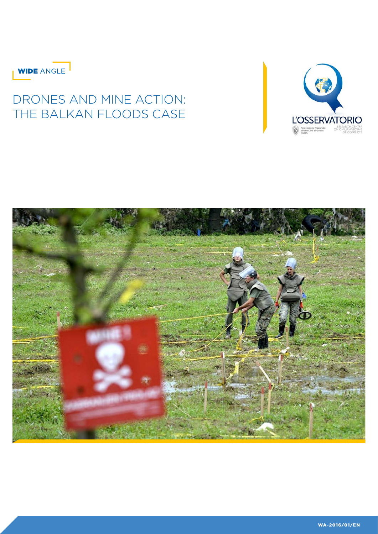

# DRONES AND MINE ACTION: THE BALKAN FLOODS CASE



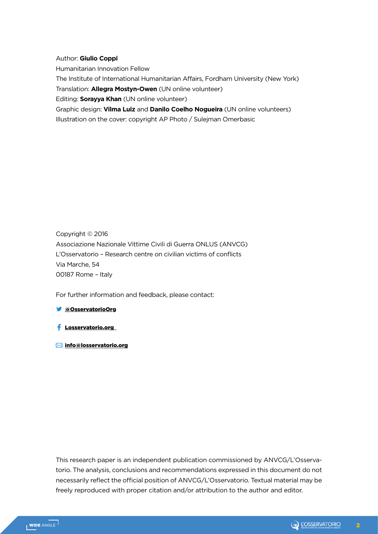## Author: **Giulio Coppi**

Humanitarian Innovation Fellow

The Institute of International Humanitarian Affairs, Fordham University (New York)

Translation: **Allegra Mostyn-Owen** (UN online volunteer)

Editing: **Sorayya Khan** (UN online volunteer)

Graphic design: **Vilma Luiz** and **Danilo Coelho Nogueira** (UN online volunteers) Illustration on the cover: copyright AP Photo / Sulejman Omerbasic

Copyright © 2016 Associazione Nazionale Vittime Civili di Guerra ONLUS (ANVCG) L'Osservatorio – Research centre on civilian victims of conflicts Via Marche, 54 00187 Rome – Italy

For further information and feedback, please contact:

## @OsservatorioOrg

- Losservatorio.org
- info@losservatorio.org

This research paper is an independent publication commissioned by ANVCG/L'Osservatorio. The analysis, conclusions and recommendations expressed in this document do not necessarily reflect the official position of ANVCG/L'Osservatorio. Textual material may be freely reproduced with proper citation and/or attribution to the author and editor.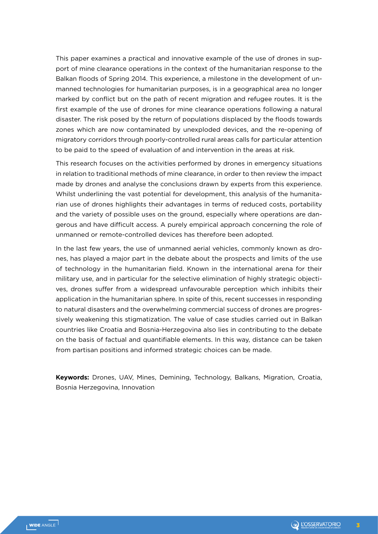This paper examines a practical and innovative example of the use of drones in support of mine clearance operations in the context of the humanitarian response to the Balkan floods of Spring 2014. This experience, a milestone in the development of unmanned technologies for humanitarian purposes, is in a geographical area no longer marked by conflict but on the path of recent migration and refugee routes. It is the first example of the use of drones for mine clearance operations following a natural disaster. The risk posed by the return of populations displaced by the floods towards zones which are now contaminated by unexploded devices, and the re-opening of migratory corridors through poorly-controlled rural areas calls for particular attention to be paid to the speed of evaluation of and intervention in the areas at risk.

This research focuses on the activities performed by drones in emergency situations in relation to traditional methods of mine clearance, in order to then review the impact made by drones and analyse the conclusions drawn by experts from this experience. Whilst underlining the vast potential for development, this analysis of the humanitarian use of drones highlights their advantages in terms of reduced costs, portability and the variety of possible uses on the ground, especially where operations are dangerous and have difficult access. A purely empirical approach concerning the role of unmanned or remote-controlled devices has therefore been adopted.

In the last few years, the use of unmanned aerial vehicles, commonly known as drones, has played a major part in the debate about the prospects and limits of the use of technology in the humanitarian field. Known in the international arena for their military use, and in particular for the selective elimination of highly strategic objectives, drones suffer from a widespread unfavourable perception which inhibits their application in the humanitarian sphere. In spite of this, recent successes in responding to natural disasters and the overwhelming commercial success of drones are progressively weakening this stigmatization. The value of case studies carried out in Balkan countries like Croatia and Bosnia-Herzegovina also lies in contributing to the debate on the basis of factual and quantifiable elements. In this way, distance can be taken from partisan positions and informed strategic choices can be made.

**Keywords:** Drones, UAV, Mines, Demining, Technology, Balkans, Migration, Croatia, Bosnia Herzegovina, Innovation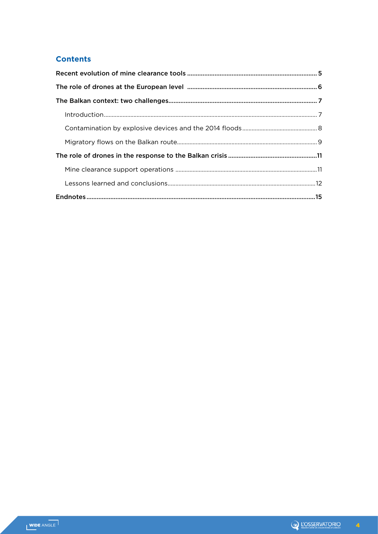# **Contents**

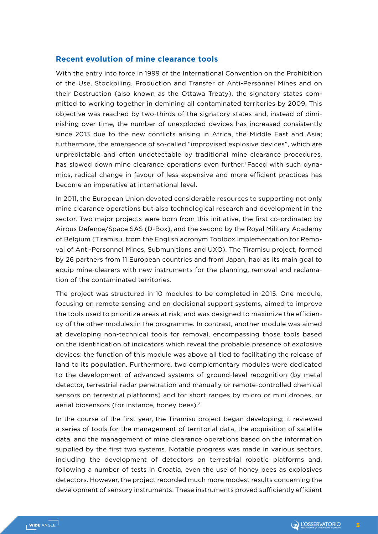## **Recent evolution of mine clearance tools**

With the entry into force in 1999 of the International Convention on the Prohibition of the Use, Stockpiling, Production and Transfer of Anti-Personnel Mines and on their Destruction (also known as the Ottawa Treaty), the signatory states committed to working together in demining all contaminated territories by 2009. This objective was reached by two-thirds of the signatory states and, instead of diminishing over time, the number of unexploded devices has increased consistently since 2013 due to the new conflicts arising in Africa, the Middle East and Asia; furthermore, the emergence of so-called "improvised explosive devices", which are unpredictable and often undetectable by traditional mine clearance procedures, has slowed down mine clearance operations even further.<sup>1</sup> Faced with such dynamics, radical change in favour of less expensive and more efficient practices has become an imperative at international level.

In 2011, the European Union devoted considerable resources to supporting not only mine clearance operations but also technological research and development in the sector. Two major projects were born from this initiative, the first co-ordinated by Airbus Defence/Space SAS (D-Box), and the second by the Royal Military Academy of Belgium (Tiramisu, from the English acronym Toolbox Implementation for Removal of Anti-Personnel Mines, Submunitions and UXO). The Tiramisu project, formed by 26 partners from 11 European countries and from Japan, had as its main goal to equip mine-clearers with new instruments for the planning, removal and reclamation of the contaminated territories.

The project was structured in 10 modules to be completed in 2015. One module, focusing on remote sensing and on decisional support systems, aimed to improve the tools used to prioritize areas at risk, and was designed to maximize the efficiency of the other modules in the programme. In contrast, another module was aimed at developing non-technical tools for removal, encompassing those tools based on the identification of indicators which reveal the probable presence of explosive devices: the function of this module was above all tied to facilitating the release of land to its population. Furthermore, two complementary modules were dedicated to the development of advanced systems of ground-level recognition (by metal detector, terrestrial radar penetration and manually or remote-controlled chemical sensors on terrestrial platforms) and for short ranges by micro or mini drones, or aerial biosensors (for instance, honey bees).<sup>2</sup>

In the course of the first year, the Tiramisu project began developing; it reviewed a series of tools for the management of territorial data, the acquisition of satellite data, and the management of mine clearance operations based on the information supplied by the first two systems. Notable progress was made in various sectors, including the development of detectors on terrestrial robotic platforms and, following a number of tests in Croatia, even the use of honey bees as explosives detectors. However, the project recorded much more modest results concerning the development of sensory instruments. These instruments proved sufficiently efficient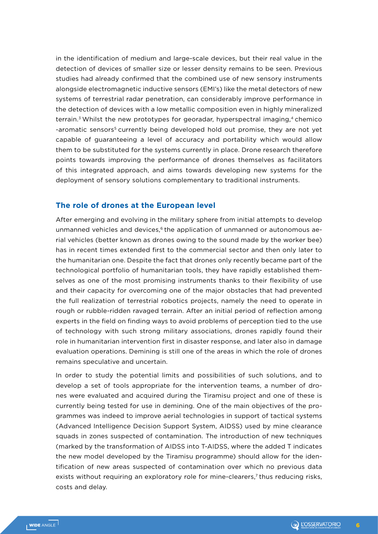in the identification of medium and large-scale devices, but their real value in the detection of devices of smaller size or lesser density remains to be seen. Previous studies had already confirmed that the combined use of new sensory instruments alongside electromagnetic inductive sensors (EMI's) like the metal detectors of new systems of terrestrial radar penetration, can considerably improve performance in the detection of devices with a low metallic composition even in highly mineralized terrain.<sup>3</sup> Whilst the new prototypes for georadar, hyperspectral imaging,<sup>4</sup> chemico -aromatic sensors5 currently being developed hold out promise, they are not yet capable of guaranteeing a level of accuracy and portability which would allow them to be substituted for the systems currently in place. Drone research therefore points towards improving the performance of drones themselves as facilitators of this integrated approach, and aims towards developing new systems for the deployment of sensory solutions complementary to traditional instruments.

# **The role of drones at the European level**

After emerging and evolving in the military sphere from initial attempts to develop unmanned vehicles and devices,<sup>6</sup> the application of unmanned or autonomous aerial vehicles (better known as drones owing to the sound made by the worker bee) has in recent times extended first to the commercial sector and then only later to the humanitarian one. Despite the fact that drones only recently became part of the technological portfolio of humanitarian tools, they have rapidly established themselves as one of the most promising instruments thanks to their flexibility of use and their capacity for overcoming one of the major obstacles that had prevented the full realization of terrestrial robotics projects, namely the need to operate in rough or rubble-ridden ravaged terrain. After an initial period of reflection among experts in the field on finding ways to avoid problems of perception tied to the use of technology with such strong military associations, drones rapidly found their role in humanitarian intervention first in disaster response, and later also in damage evaluation operations. Demining is still one of the areas in which the role of drones remains speculative and uncertain.

In order to study the potential limits and possibilities of such solutions, and to develop a set of tools appropriate for the intervention teams, a number of drones were evaluated and acquired during the Tiramisu project and one of these is currently being tested for use in demining. One of the main objectives of the programmes was indeed to improve aerial technologies in support of tactical systems (Advanced Intelligence Decision Support System, AIDSS) used by mine clearance squads in zones suspected of contamination. The introduction of new techniques (marked by the transformation of AIDSS into T-AIDSS, where the added T indicates the new model developed by the Tiramisu programme) should allow for the identification of new areas suspected of contamination over which no previous data exists without requiring an exploratory role for mine-clearers,<sup>7</sup> thus reducing risks, costs and delay.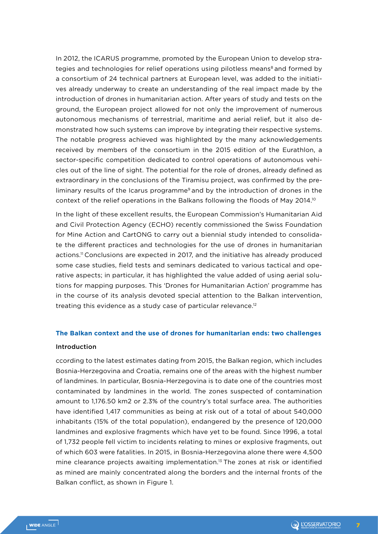In 2012, the ICARUS programme, promoted by the European Union to develop strategies and technologies for relief operations using pilotless means<sup>8</sup> and formed by a consortium of 24 technical partners at European level, was added to the initiatives already underway to create an understanding of the real impact made by the introduction of drones in humanitarian action. After years of study and tests on the ground, the European project allowed for not only the improvement of numerous autonomous mechanisms of terrestrial, maritime and aerial relief, but it also demonstrated how such systems can improve by integrating their respective systems. The notable progress achieved was highlighted by the many acknowledgements received by members of the consortium in the 2015 edition of the Eurathlon, a sector-specific competition dedicated to control operations of autonomous vehicles out of the line of sight. The potential for the role of drones, already defined as extraordinary in the conclusions of the Tiramisu project, was confirmed by the preliminary results of the Icarus programme<sup>9</sup> and by the introduction of drones in the context of the relief operations in the Balkans following the floods of May 2014.10

In the light of these excellent results, the European Commission's Humanitarian Aid and Civil Protection Agency (ECHO) recently commissioned the Swiss Foundation for Mine Action and CartONG to carry out a biennial study intended to consolidate the different practices and technologies for the use of drones in humanitarian actions.<sup>11</sup> Conclusions are expected in 2017, and the initiative has already produced some case studies, field tests and seminars dedicated to various tactical and operative aspects; in particular, it has highlighted the value added of using aerial solutions for mapping purposes. This 'Drones for Humanitarian Action' programme has in the course of its analysis devoted special attention to the Balkan intervention, treating this evidence as a study case of particular relevance.12

# **The Balkan context and the use of drones for humanitarian ends: two challenges**

#### Introduction

ccording to the latest estimates dating from 2015, the Balkan region, which includes Bosnia-Herzegovina and Croatia, remains one of the areas with the highest number of landmines. In particular, Bosnia-Herzegovina is to date one of the countries most contaminated by landmines in the world. The zones suspected of contamination amount to 1,176.50 km2 or 2.3% of the country's total surface area. The authorities have identified 1,417 communities as being at risk out of a total of about 540,000 inhabitants (15% of the total population), endangered by the presence of 120,000 landmines and explosive fragments which have yet to be found. Since 1996, a total of 1,732 people fell victim to incidents relating to mines or explosive fragments, out of which 603 were fatalities. In 2015, in Bosnia-Herzegovina alone there were 4,500 mine clearance projects awaiting implementation.13 The zones at risk or identified as mined are mainly concentrated along the borders and the internal fronts of the Balkan conflict, as shown in Figure 1.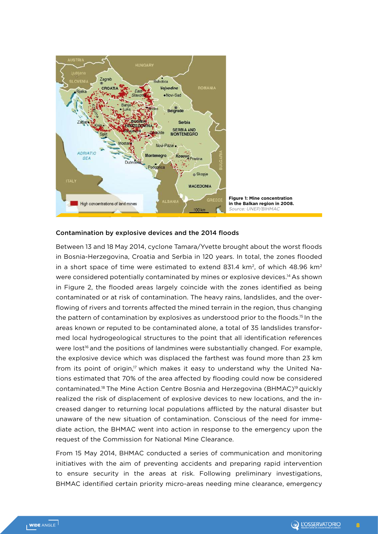

## Contamination by explosive devices and the 2014 floods

Between 13 and 18 May 2014, cyclone Tamara/Yvette brought about the worst floods in Bosnia-Herzegovina, Croatia and Serbia in 120 years. In total, the zones flooded in a short space of time were estimated to extend 831.4 km<sup>2</sup>, of which 48.96 km<sup>2</sup> were considered potentially contaminated by mines or explosive devices.14 As shown in Figure 2, the flooded areas largely coincide with the zones identified as being contaminated or at risk of contamination. The heavy rains, landslides, and the overflowing of rivers and torrents affected the mined terrain in the region, thus changing the pattern of contamination by explosives as understood prior to the floods.<sup>15</sup> In the areas known or reputed to be contaminated alone, a total of 35 landslides transformed local hydrogeological structures to the point that all identification references were lost<sup>16</sup> and the positions of landmines were substantially changed. For example, the explosive device which was displaced the farthest was found more than 23 km from its point of origin,<sup>17</sup> which makes it easy to understand why the United Nations estimated that 70% of the area affected by flooding could now be considered contaminated.<sup>18</sup> The Mine Action Centre Bosnia and Herzegovina (BHMAC)<sup>19</sup> quickly realized the risk of displacement of explosive devices to new locations, and the increased danger to returning local populations afflicted by the natural disaster but unaware of the new situation of contamination. Conscious of the need for immediate action, the BHMAC went into action in response to the emergency upon the request of the Commission for National Mine Clearance.

From 15 May 2014, BHMAC conducted a series of communication and monitoring initiatives with the aim of preventing accidents and preparing rapid intervention to ensure security in the areas at risk. Following preliminary investigations, BHMAC identified certain priority micro-areas needing mine clearance, emergency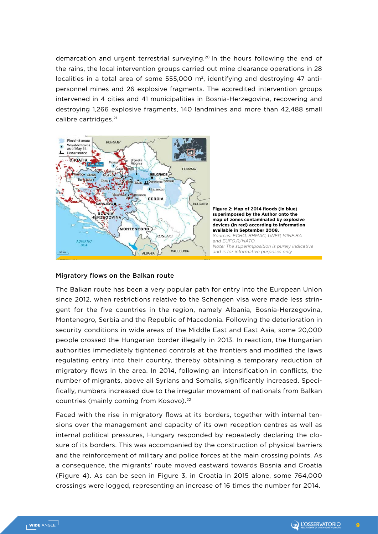demarcation and urgent terrestrial surveying.20 In the hours following the end of the rains, the local intervention groups carried out mine clearance operations in 28 localities in a total area of some 555,000 m<sup>2</sup>, identifying and destroying 47 antipersonnel mines and 26 explosive fragments. The accredited intervention groups intervened in 4 cities and 41 municipalities in Bosnia-Herzegovina, recovering and destroying 1,266 explosive fragments, 140 landmines and more than 42,488 small calibre cartridges.<sup>21</sup>



#### Migratory flows on the Balkan route

The Balkan route has been a very popular path for entry into the European Union since 2012, when restrictions relative to the Schengen visa were made less stringent for the five countries in the region, namely Albania, Bosnia-Herzegovina, Montenegro, Serbia and the Republic of Macedonia. Following the deterioration in security conditions in wide areas of the Middle East and East Asia, some 20,000 people crossed the Hungarian border illegally in 2013. In reaction, the Hungarian authorities immediately tightened controls at the frontiers and modified the laws regulating entry into their country, thereby obtaining a temporary reduction of migratory flows in the area. In 2014, following an intensification in conflicts, the number of migrants, above all Syrians and Somalis, significantly increased. Specifically, numbers increased due to the irregular movement of nationals from Balkan countries (mainly coming from Kosovo).<sup>22</sup>

Faced with the rise in migratory flows at its borders, together with internal tensions over the management and capacity of its own reception centres as well as internal political pressures, Hungary responded by repeatedly declaring the closure of its borders. This was accompanied by the construction of physical barriers and the reinforcement of military and police forces at the main crossing points. As a consequence, the migrants' route moved eastward towards Bosnia and Croatia (Figure 4). As can be seen in Figure 3, in Croatia in 2015 alone, some 764,000 crossings were logged, representing an increase of 16 times the number for 2014.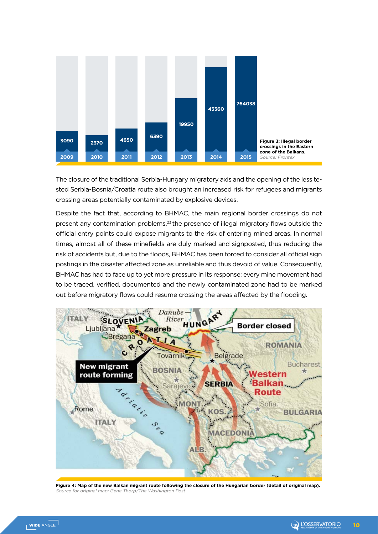

The closure of the traditional Serbia-Hungary migratory axis and the opening of the less tested Serbia-Bosnia/Croatia route also brought an increased risk for refugees and migrants crossing areas potentially contaminated by explosive devices.

Despite the fact that, according to BHMAC, the main regional border crossings do not present any contamination problems,<sup>23</sup> the presence of illegal migratory flows outside the official entry points could expose migrants to the risk of entering mined areas. In normal times, almost all of these minefields are duly marked and signposted, thus reducing the risk of accidents but, due to the floods, BHMAC has been forced to consider all official sign postings in the disaster affected zone as unreliable and thus devoid of value. Consequently, BHMAC has had to face up to yet more pressure in its response: every mine movement had to be traced, verified, documented and the newly contaminated zone had to be marked out before migratory flows could resume crossing the areas affected by the flooding.



**Figure 4: Map of the new Balkan migrant route following the closure of the Hungarian border (detail of original map).**  urce for original map: Gene Thorp/The Washington Post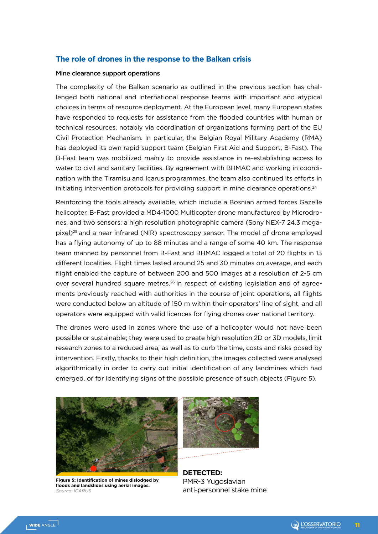## **The role of drones in the response to the Balkan crisis**

#### Mine clearance support operations

The complexity of the Balkan scenario as outlined in the previous section has challenged both national and international response teams with important and atypical choices in terms of resource deployment. At the European level, many European states have responded to requests for assistance from the flooded countries with human or technical resources, notably via coordination of organizations forming part of the EU Civil Protection Mechanism. In particular, the Belgian Royal Military Academy (RMA) has deployed its own rapid support team (Belgian First Aid and Support, B-Fast). The B-Fast team was mobilized mainly to provide assistance in re-establishing access to water to civil and sanitary facilities. By agreement with BHMAC and working in coordination with the Tiramisu and Icarus programmes, the team also continued its efforts in initiating intervention protocols for providing support in mine clearance operations.<sup>24</sup>

Reinforcing the tools already available, which include a Bosnian armed forces Gazelle helicopter, B-Fast provided a MD4-1000 Multicopter drone manufactured by Microdrones, and two sensors: a high resolution photographic camera (Sony NEX-7 24.3 megapixel)25 and a near infrared (NIR) spectroscopy sensor. The model of drone employed has a flying autonomy of up to 88 minutes and a range of some 40 km. The response team manned by personnel from B-Fast and BHMAC logged a total of 20 flights in 13 different localities. Flight times lasted around 25 and 30 minutes on average, and each flight enabled the capture of between 200 and 500 images at a resolution of 2-5 cm over several hundred square metres.<sup>26</sup> In respect of existing legislation and of agreements previously reached with authorities in the course of joint operations, all flights were conducted below an altitude of 150 m within their operators' line of sight, and all operators were equipped with valid licences for flying drones over national territory.

The drones were used in zones where the use of a helicopter would not have been possible or sustainable; they were used to create high resolution 2D or 3D models, limit research zones to a reduced area, as well as to curb the time, costs and risks posed by intervention. Firstly, thanks to their high definition, the images collected were analysed algorithmically in order to carry out initial identification of any landmines which had emerged, or for identifying signs of the possible presence of such objects (Figure 5).



**Figure 5: Identification of mines dislodged by floods and landslides using aerial images.**  Source: ICARUS



**DETECTED:** PMR-3 Yugoslavian anti-personnel stake mine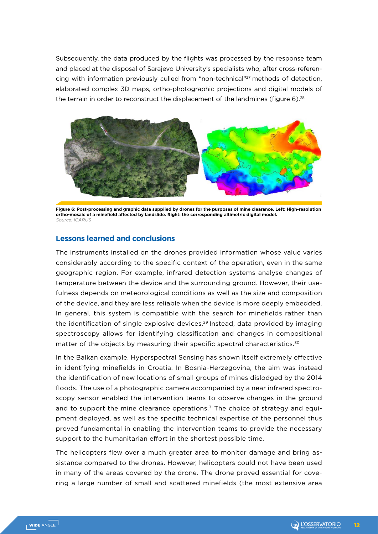Subsequently, the data produced by the flights was processed by the response team and placed at the disposal of Sarajevo University's specialists who, after cross-referencing with information previously culled from "non-technical"27 methods of detection, elaborated complex 3D maps, ortho-photographic projections and digital models of the terrain in order to reconstruct the displacement of the landmines (figure  $6$ ).<sup>28</sup>



**Figure 6: Post-processing and graphic data supplied by drones for the purposes of mine clearance. Left: High-resolution ortho-mosaic of a minefield affected by landslide. Right: the corresponding altimetric digital model.**  Source: ICARUS

## **Lessons learned and conclusions**

The instruments installed on the drones provided information whose value varies considerably according to the specific context of the operation, even in the same geographic region. For example, infrared detection systems analyse changes of temperature between the device and the surrounding ground. However, their usefulness depends on meteorological conditions as well as the size and composition of the device, and they are less reliable when the device is more deeply embedded. In general, this system is compatible with the search for minefields rather than the identification of single explosive devices.29 Instead, data provided by imaging spectroscopy allows for identifying classification and changes in compositional matter of the objects by measuring their specific spectral characteristics.<sup>30</sup>

In the Balkan example, Hyperspectral Sensing has shown itself extremely effective in identifying minefields in Croatia. In Bosnia-Herzegovina, the aim was instead the identification of new locations of small groups of mines dislodged by the 2014 floods. The use of a photographic camera accompanied by a near infrared spectroscopy sensor enabled the intervention teams to observe changes in the ground and to support the mine clearance operations.<sup>31</sup> The choice of strategy and equipment deployed, as well as the specific technical expertise of the personnel thus proved fundamental in enabling the intervention teams to provide the necessary support to the humanitarian effort in the shortest possible time.

The helicopters flew over a much greater area to monitor damage and bring assistance compared to the drones. However, helicopters could not have been used in many of the areas covered by the drone. The drone proved essential for covering a large number of small and scattered minefields (the most extensive area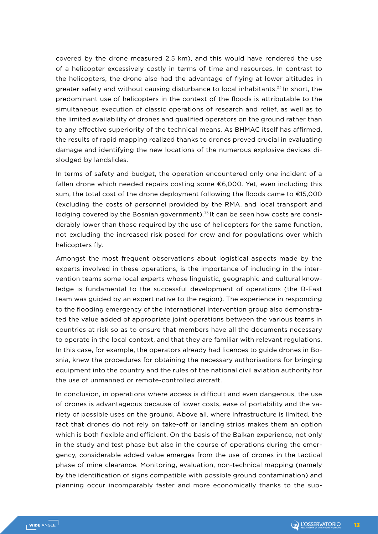covered by the drone measured 2.5 km), and this would have rendered the use of a helicopter excessively costly in terms of time and resources. In contrast to the helicopters, the drone also had the advantage of flying at lower altitudes in greater safety and without causing disturbance to local inhabitants.32 In short, the predominant use of helicopters in the context of the floods is attributable to the simultaneous execution of classic operations of research and relief, as well as to the limited availability of drones and qualified operators on the ground rather than to any effective superiority of the technical means. As BHMAC itself has affirmed, the results of rapid mapping realized thanks to drones proved crucial in evaluating damage and identifying the new locations of the numerous explosive devices dislodged by landslides.

In terms of safety and budget, the operation encountered only one incident of a fallen drone which needed repairs costing some €6,000. Yet, even including this sum, the total cost of the drone deployment following the floods came to €15,000 (excluding the costs of personnel provided by the RMA, and local transport and lodging covered by the Bosnian government).<sup>33</sup> It can be seen how costs are considerably lower than those required by the use of helicopters for the same function, not excluding the increased risk posed for crew and for populations over which helicopters fly.

Amongst the most frequent observations about logistical aspects made by the experts involved in these operations, is the importance of including in the intervention teams some local experts whose linguistic, geographic and cultural knowledge is fundamental to the successful development of operations (the B-Fast team was guided by an expert native to the region). The experience in responding to the flooding emergency of the international intervention group also demonstrated the value added of appropriate joint operations between the various teams in countries at risk so as to ensure that members have all the documents necessary to operate in the local context, and that they are familiar with relevant regulations. In this case, for example, the operators already had licences to guide drones in Bosnia, knew the procedures for obtaining the necessary authorisations for bringing equipment into the country and the rules of the national civil aviation authority for the use of unmanned or remote-controlled aircraft.

In conclusion, in operations where access is difficult and even dangerous, the use of drones is advantageous because of lower costs, ease of portability and the variety of possible uses on the ground. Above all, where infrastructure is limited, the fact that drones do not rely on take-off or landing strips makes them an option which is both flexible and efficient. On the basis of the Balkan experience, not only in the study and test phase but also in the course of operations during the emergency, considerable added value emerges from the use of drones in the tactical phase of mine clearance. Monitoring, evaluation, non-technical mapping (namely by the identification of signs compatible with possible ground contamination) and planning occur incomparably faster and more economically thanks to the sup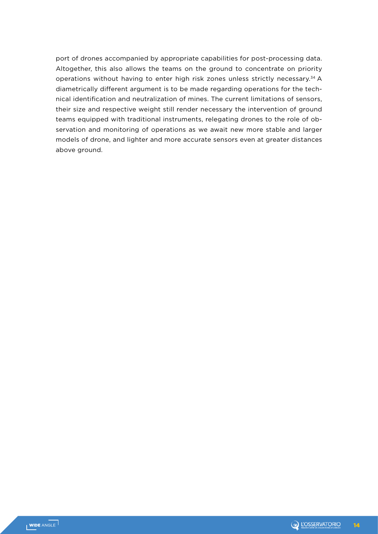port of drones accompanied by appropriate capabilities for post-processing data. Altogether, this also allows the teams on the ground to concentrate on priority operations without having to enter high risk zones unless strictly necessary.<sup>34</sup> A diametrically different argument is to be made regarding operations for the technical identification and neutralization of mines. The current limitations of sensors, their size and respective weight still render necessary the intervention of ground teams equipped with traditional instruments, relegating drones to the role of observation and monitoring of operations as we await new more stable and larger models of drone, and lighter and more accurate sensors even at greater distances above ground.

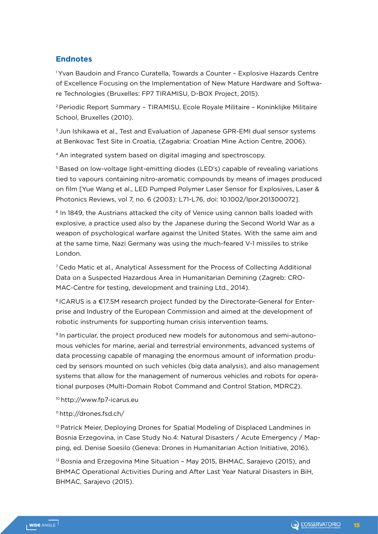# **Endnotes**

1 Yvan Baudoin and Franco Curatella, Towards a Counter – Explosive Hazards Centre of Excellence Focusing on the Implementation of New Mature Hardware and Software Technologies (Bruxelles: FP7 TIRAMISU, D-BOX Project, 2015).

2 Periodic Report Summary – TIRAMISU, Ecole Royale Militaire – Koninklijke Militaire School, Bruxelles (2010).

3 Jun Ishikawa et al., Test and Evaluation of Japanese GPR-EMI dual sensor systems at Benkovac Test Site in Croatia, (Zagabria: Croatian Mine Action Centre, 2006).

4 An integrated system based on digital imaging and spectroscopy.

5 Based on low-voltage light-emitting diodes (LED's) capable of revealing variations tied to vapours containing nitro-aromatic compounds by means of images produced on film [Yue Wang et al., LED Pumped Polymer Laser Sensor for Explosives, Laser & Photonics Reviews, vol 7, no. 6 (2003): L71-L76, doi: 10.1002/lpor.201300072].

6 In 1849, the Austrians attacked the city of Venice using cannon balls loaded with explosive, a practice used also by the Japanese during the Second World War as a weapon of psychological warfare against the United States. With the same aim and at the same time, Nazi Germany was using the much-feared V-1 missiles to strike London.

7 Cedo Matic et al., Analytical Assessment for the Process of Collecting Additional Data on a Suspected Hazardous Area in Humanitarian Demining (Zagreb: CRO-MAC-Centre for testing, development and training Ltd., 2014).

<sup>8</sup> ICARUS is a €17.5M research project funded by the Directorate-General for Enterprise and Industry of the European Commission and aimed at the development of robotic instruments for supporting human crisis intervention teams.

9 In particular, the project produced new models for autonomous and semi-autonomous vehicles for marine, aerial and terrestrial environments, advanced systems of data processing capable of managing the enormous amount of information produced by sensors mounted on such vehicles (big data analysis), and also management systems that allow for the management of numerous vehicles and robots for operational purposes (Multi-Domain Robot Command and Control Station, MDRC2).

10 http://www.fp7-icarus.eu

#### 11 http://drones.fsd.ch/

<sup>12</sup> Patrick Meier, Deploying Drones for Spatial Modeling of Displaced Landmines in Bosnia Erzegovina, in Case Study No.4: Natural Disasters / Acute Emergency / Mapping, ed. Denise Soesilo (Geneva: Drones in Humanitarian Action Initiative, 2016).

<sup>13</sup> Bosnia and Erzegovina Mine Situation - May 2015, BHMAC, Sarajevo (2015), and BHMAC Operational Activities During and After Last Year Natural Disasters in BiH, BHMAC, Sarajevo (2015).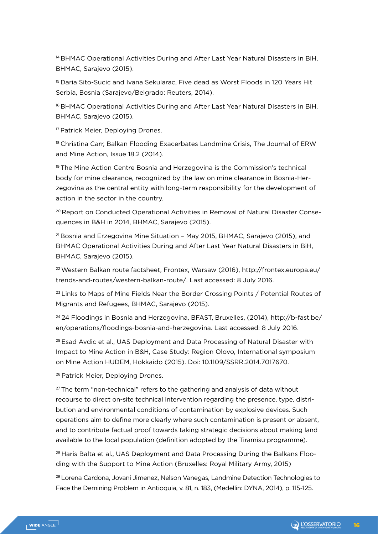<sup>14</sup> BHMAC Operational Activities During and After Last Year Natural Disasters in BiH, BHMAC, Sarajevo (2015).

15 Daria Sito-Sucic and Ivana Sekularac, Five dead as Worst Floods in 120 Years Hit Serbia, Bosnia (Sarajevo/Belgrado: Reuters, 2014).

<sup>16</sup> BHMAC Operational Activities During and After Last Year Natural Disasters in BiH, BHMAC, Sarajevo (2015).

<sup>17</sup> Patrick Meier, Deploying Drones.

18 Christina Carr, Balkan Flooding Exacerbates Landmine Crisis, The Journal of ERW and Mine Action, Issue 18.2 (2014).

19 The Mine Action Centre Bosnia and Herzegovina is the Commission's technical body for mine clearance, recognized by the law on mine clearance in Bosnia-Herzegovina as the central entity with long-term responsibility for the development of action in the sector in the country.

20 Report on Conducted Operational Activities in Removal of Natural Disaster Consequences in B&H in 2014, BHMAC, Sarajevo (2015).

 $21$  Bosnia and Erzegovina Mine Situation - May 2015, BHMAC, Sarajevo (2015), and BHMAC Operational Activities During and After Last Year Natural Disasters in BiH, BHMAC, Sarajevo (2015).

22 Western Balkan route factsheet, Frontex, Warsaw (2016), http://frontex.europa.eu/ trends-and-routes/western-balkan-route/. Last accessed: 8 July 2016.

<sup>23</sup> Links to Maps of Mine Fields Near the Border Crossing Points / Potential Routes of Migrants and Refugees, BHMAC, Sarajevo (2015).

<sup>24</sup> 24 Floodings in Bosnia and Herzegovina, BFAST, Bruxelles, (2014), http://b-fast.be/ en/operations/floodings-bosnia-and-herzegovina. Last accessed: 8 July 2016.

<sup>25</sup> Esad Avdic et al., UAS Deployment and Data Processing of Natural Disaster with Impact to Mine Action in B&H, Case Study: Region Olovo, International symposium on Mine Action HUDEM, Hokkaido (2015). Doi: 10.1109/SSRR.2014.7017670.

<sup>26</sup> Patrick Meier, Deploying Drones.

 $27$  The term "non-technical" refers to the gathering and analysis of data without recourse to direct on-site technical intervention regarding the presence, type, distribution and environmental conditions of contamination by explosive devices. Such operations aim to define more clearly where such contamination is present or absent, and to contribute factual proof towards taking strategic decisions about making land available to the local population (definition adopted by the Tiramisu programme).

<sup>28</sup> Haris Balta et al., UAS Deployment and Data Processing During the Balkans Flooding with the Support to Mine Action (Bruxelles: Royal Military Army, 2015)

29 Lorena Cardona, Jovani Jimenez, Nelson Vanegas, Landmine Detection Technologies to Face the Demining Problem in Antioquia, v. 81, n. 183, (Medellin: DYNA, 2014), p. 115-125.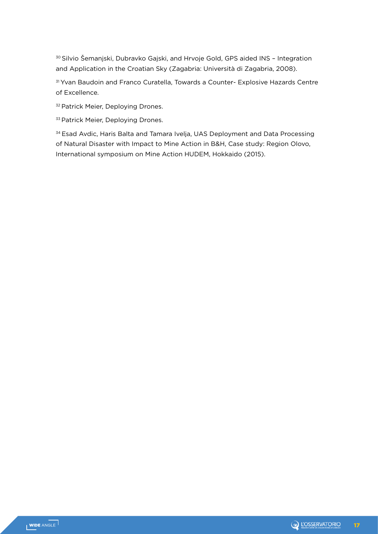30 Silvio Šemanjski, Dubravko Gajski, and Hrvoje Gold, GPS aided INS – Integration and Application in the Croatian Sky (Zagabria: Università di Zagabria, 2008).

31 Yvan Baudoin and Franco Curatella, Towards a Counter- Explosive Hazards Centre of Excellence.

<sup>32</sup> Patrick Meier, Deploying Drones.

33 Patrick Meier, Deploying Drones.

<sup>34</sup> Esad Avdic, Haris Balta and Tamara Ivelja, UAS Deployment and Data Processing of Natural Disaster with Impact to Mine Action in B&H, Case study: Region Olovo, International symposium on Mine Action HUDEM, Hokkaido (2015).